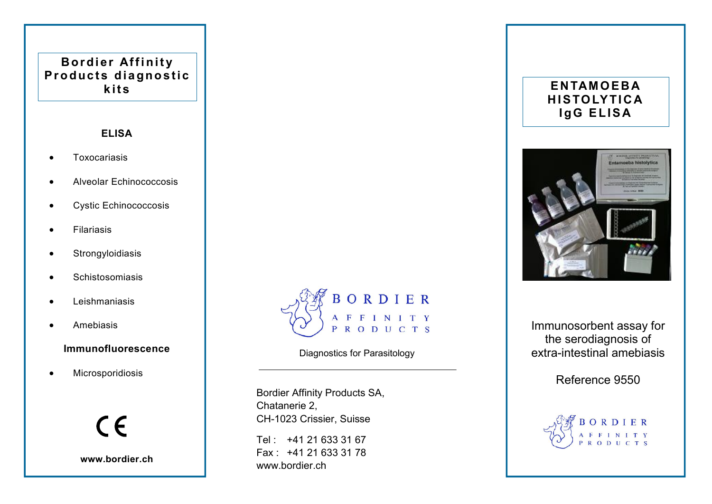# Bordier Affinity Products diagnostic **kits**

### ELISA

- Toxocariasis
- Alveolar Echinococcosis
- Cystic Echinococcosis
- **•** Filariasis
- **•** Strongyloidiasis
- **•** Schistosomiasis
- Leishmaniasis
- **•** Amebiasis

### Immunofluorescence

Microsporidiosis



www.bordier.ch



### Diagnostics for Parasitology

Bordier Affinity Products SA, Chatanerie 2, CH-1023 Crissier, Suisse

Tel : +41 21 633 31 67 Fax : +41 21 633 31 78 www.bordier.ch

## **ENTAMOEBA** HISTOLYTICA **IgG ELISA**



Immunosorbent assay for the serodiagnosis of extra-intestinal amebiasis

Reference 9550